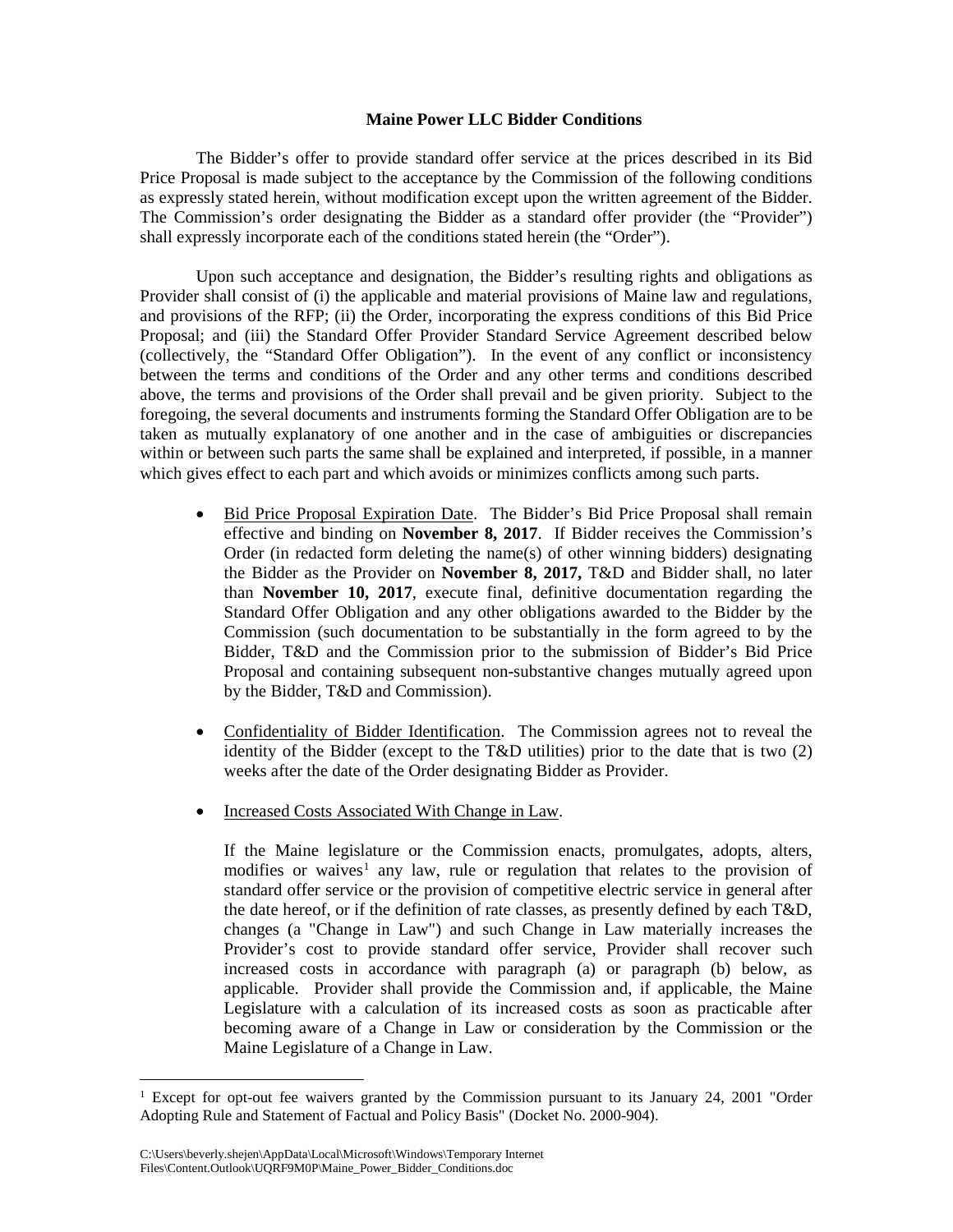## **Maine Power LLC Bidder Conditions**

The Bidder's offer to provide standard offer service at the prices described in its Bid Price Proposal is made subject to the acceptance by the Commission of the following conditions as expressly stated herein, without modification except upon the written agreement of the Bidder. The Commission's order designating the Bidder as a standard offer provider (the "Provider") shall expressly incorporate each of the conditions stated herein (the "Order").

Upon such acceptance and designation, the Bidder's resulting rights and obligations as Provider shall consist of (i) the applicable and material provisions of Maine law and regulations, and provisions of the RFP; (ii) the Order, incorporating the express conditions of this Bid Price Proposal; and (iii) the Standard Offer Provider Standard Service Agreement described below (collectively, the "Standard Offer Obligation"). In the event of any conflict or inconsistency between the terms and conditions of the Order and any other terms and conditions described above, the terms and provisions of the Order shall prevail and be given priority. Subject to the foregoing, the several documents and instruments forming the Standard Offer Obligation are to be taken as mutually explanatory of one another and in the case of ambiguities or discrepancies within or between such parts the same shall be explained and interpreted, if possible, in a manner which gives effect to each part and which avoids or minimizes conflicts among such parts.

- Bid Price Proposal Expiration Date. The Bidder's Bid Price Proposal shall remain effective and binding on **November 8, 2017**. If Bidder receives the Commission's Order (in redacted form deleting the name(s) of other winning bidders) designating the Bidder as the Provider on **November 8, 2017,** T&D and Bidder shall, no later than **November 10, 2017**, execute final, definitive documentation regarding the Standard Offer Obligation and any other obligations awarded to the Bidder by the Commission (such documentation to be substantially in the form agreed to by the Bidder, T&D and the Commission prior to the submission of Bidder's Bid Price Proposal and containing subsequent non-substantive changes mutually agreed upon by the Bidder, T&D and Commission).
- Confidentiality of Bidder Identification. The Commission agrees not to reveal the identity of the Bidder (except to the T&D utilities) prior to the date that is two (2) weeks after the date of the Order designating Bidder as Provider.
- Increased Costs Associated With Change in Law.

If the Maine legislature or the Commission enacts, promulgates, adopts, alters, modifies or waives<sup>[1](#page-0-0)</sup> any law, rule or regulation that relates to the provision of standard offer service or the provision of competitive electric service in general after the date hereof, or if the definition of rate classes, as presently defined by each T&D, changes (a "Change in Law") and such Change in Law materially increases the Provider's cost to provide standard offer service, Provider shall recover such increased costs in accordance with paragraph (a) or paragraph (b) below, as applicable. Provider shall provide the Commission and, if applicable, the Maine Legislature with a calculation of its increased costs as soon as practicable after becoming aware of a Change in Law or consideration by the Commission or the Maine Legislature of a Change in Law.

<span id="page-0-0"></span><sup>&</sup>lt;sup>1</sup> Except for opt-out fee waivers granted by the Commission pursuant to its January 24, 2001 "Order Adopting Rule and Statement of Factual and Policy Basis" (Docket No. 2000-904).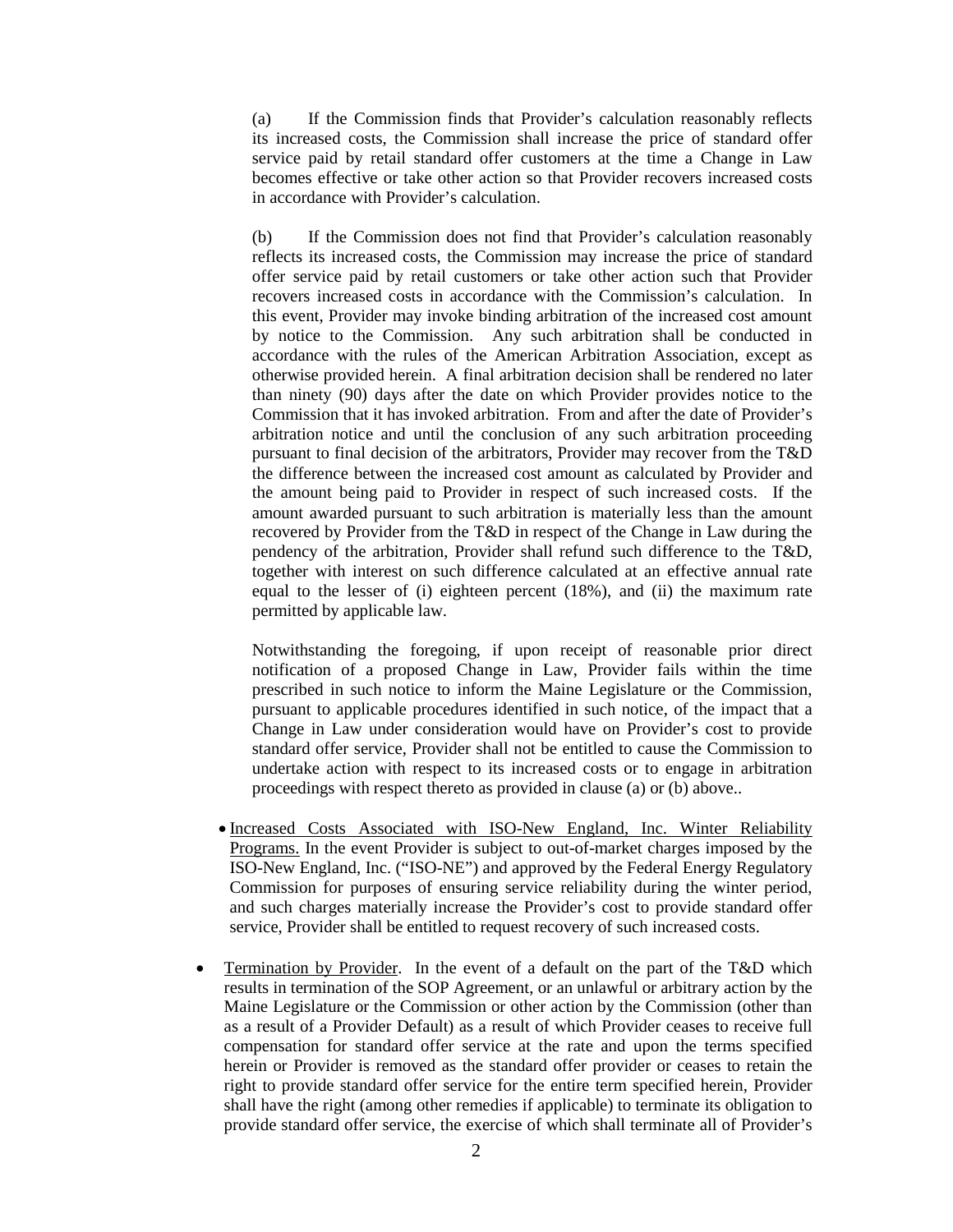(a) If the Commission finds that Provider's calculation reasonably reflects its increased costs, the Commission shall increase the price of standard offer service paid by retail standard offer customers at the time a Change in Law becomes effective or take other action so that Provider recovers increased costs in accordance with Provider's calculation.

(b) If the Commission does not find that Provider's calculation reasonably reflects its increased costs, the Commission may increase the price of standard offer service paid by retail customers or take other action such that Provider recovers increased costs in accordance with the Commission's calculation. In this event, Provider may invoke binding arbitration of the increased cost amount by notice to the Commission. Any such arbitration shall be conducted in accordance with the rules of the American Arbitration Association, except as otherwise provided herein. A final arbitration decision shall be rendered no later than ninety (90) days after the date on which Provider provides notice to the Commission that it has invoked arbitration. From and after the date of Provider's arbitration notice and until the conclusion of any such arbitration proceeding pursuant to final decision of the arbitrators, Provider may recover from the T&D the difference between the increased cost amount as calculated by Provider and the amount being paid to Provider in respect of such increased costs. If the amount awarded pursuant to such arbitration is materially less than the amount recovered by Provider from the T&D in respect of the Change in Law during the pendency of the arbitration, Provider shall refund such difference to the T&D, together with interest on such difference calculated at an effective annual rate equal to the lesser of (i) eighteen percent (18%), and (ii) the maximum rate permitted by applicable law.

Notwithstanding the foregoing, if upon receipt of reasonable prior direct notification of a proposed Change in Law, Provider fails within the time prescribed in such notice to inform the Maine Legislature or the Commission, pursuant to applicable procedures identified in such notice, of the impact that a Change in Law under consideration would have on Provider's cost to provide standard offer service, Provider shall not be entitled to cause the Commission to undertake action with respect to its increased costs or to engage in arbitration proceedings with respect thereto as provided in clause (a) or (b) above..

- Increased Costs Associated with ISO-New England, Inc. Winter Reliability Programs. In the event Provider is subject to out-of-market charges imposed by the ISO-New England, Inc. ("ISO-NE") and approved by the Federal Energy Regulatory Commission for purposes of ensuring service reliability during the winter period, and such charges materially increase the Provider's cost to provide standard offer service, Provider shall be entitled to request recovery of such increased costs.
- Termination by Provider. In the event of a default on the part of the T&D which results in termination of the SOP Agreement, or an unlawful or arbitrary action by the Maine Legislature or the Commission or other action by the Commission (other than as a result of a Provider Default) as a result of which Provider ceases to receive full compensation for standard offer service at the rate and upon the terms specified herein or Provider is removed as the standard offer provider or ceases to retain the right to provide standard offer service for the entire term specified herein, Provider shall have the right (among other remedies if applicable) to terminate its obligation to provide standard offer service, the exercise of which shall terminate all of Provider's